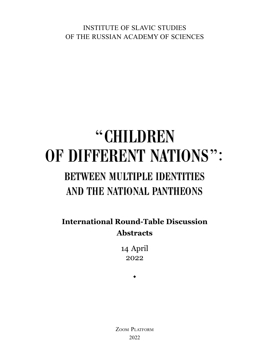INSTITUTE OF SLAVIC STUDIES OF THE RUSSIAN ACADEMY OF SCIENCES

# "CHILDREN "CHILDREN OF DIFFERENT NATIONS": OF DIFFERENT NATIONS": BETWEEN MULTIPLE IDENTITIES BETWEEN MULTIPLE IDENTITIES<br>AND THE NATIONAL PANTHEONS

**International Round-Table Discussion Abstracts**

> 14 April 2022

> > $\bullet$

ZOOM PLATFORM 2022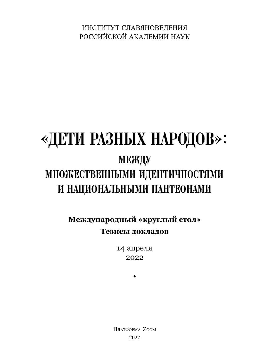ИНСТИТУТ СЛАВЯНОВЕДЕНИЯ РОССИЙСКОЙ АКАДЕМИИ НАУК

# «ДЕТИ РАЗНЫХ НАРОДОВ»: РАЗНЫХ НАРОДОВ»: МЕЖДУ МЕЖДУ МНОЖЕСТВЕННЫМИ ИДЕНТИЧНОСТЯМИ МНОЖЕСТВЕННЫМИ ИДЕНТИЧНОСТЯМИ И НАЦИОНАЛЬНЫМИ ПАНТЕОНАМИ И НАЦИОНАЛЬНЫМИ ПАНТЕОНАМИ

**Международный «круглый стол» Тезисы докладов**

> 14 апреля 2022

> > $\bullet$

ПЛАТФОРМА ZOOM 2022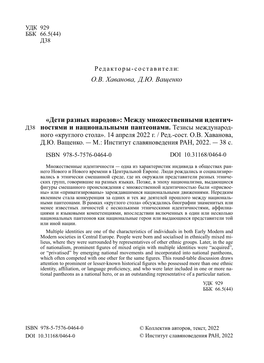УДК 929 ББК 66.5(44) Д38

## Редакторы-составители: *О.В. Хаванова, Д.Ю. Ващенко*

**«Дети разных народов»: Между множественными идентичностями и национальными пантеонами.** Тезисы международ-Д38 ного «круглого стола». 14 апреля 2022 г. / Ред.-сост. О.В. Хаванова, Д.Ю. Ващенко. ― М.: Институт славяноведения РАН, 2022. ― 38 с.

ISBN 978-5-7576-0464-0 DOI 10.31168/0464-0

Множественные идентичности ― одна из характеристик индивида в обществах раннего Нового и Нового времени в Центральной Европе. Люди рождались и социализировались в этнически смешанной среде, где их окружали представители разных этнических групп, говорившие на разных языках. Позже, в эпоху национализма, выдающиеся фигуры смешанного происхождения с множественной идентичностью были «присвоены» или «приватизированы» зарождавшимися национальными движениями. Нередким явлением стала конкуренция за одних и тех же деятелей прошлого между национальными пантеонами. В рамках «круглого стола» обсуждались биографии знаменитых или менее известных личностей с несколькими этническими идентичностями, аффилиациями и языковыми компетенциями, впоследствии включенных в один или несколько национальных пантеонов как национальные герои или выдающиеся представители той или иной нации.

Multiple identities are one of the characteristics of individuals in both Early Modern and Modern societies in Central Europe. People were born and socialised in ethnically mixed milieus, where they were surrounded by representatives of other ethnic groups. Later, in the age of nationalism, prominent figures of mixed origin with multiple identities were "acquired", or "privatised" by emerging national movements and incorporated into national pantheons, which often competed with one other for the same figures. This round-table discussion draws attention to prominent or lesser-known historical figures who possessed more than one ethnic identity, affiliation, or language proficiency, and who were later included in one or more national pantheons as a national hero, or as an outstanding representative of a particular nation.

> УДК 929 ББК 66.5(44)

© Коллектив авторов, текст, 2022 © Институт славяноведения РАН, 2022

ISBN 978-5-7576-0464-0 DOI 10.31168/0464-0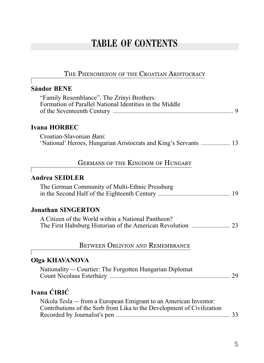## **TABLE OF CONTENTS**

### THE PHENOMENON OF THE CROATIAN ARISTOCRACY

#### **Sándor BENE**

| "Family Resemblance". The Zrínyi Brothers:              |  |
|---------------------------------------------------------|--|
| Formation of Parallel National Identities in the Middle |  |
|                                                         |  |

### **Ivana HORBEC**

Croatian-Slavonian Bani: 'National' Heroes, Hungarian Aristocrats and King's Servants .................. 13

### GERMANS OF THE KINGDOM OF HUNGARY

### **Andrea SEIDLER**

| The German Community of Multi-Ethnic Pressburg |  |
|------------------------------------------------|--|
|                                                |  |

### **Jonathan SINGERTON**

| A Citizen of the World within a National Pantheon? |  |
|----------------------------------------------------|--|
|                                                    |  |

#### BETWEEN OBLIVION AND REMEMBRANCE

#### **Olga KHAVANOVA**

| Nationality — Courtier: The Forgotten Hungarian Diplomat |  |
|----------------------------------------------------------|--|
|                                                          |  |

## **Ivana ĆIRIĆ**

| Nikola Tesla — from a European Emigrant to an American Inventor:       |  |
|------------------------------------------------------------------------|--|
| Contributions of the Serb from Lika to the Development of Civilization |  |
|                                                                        |  |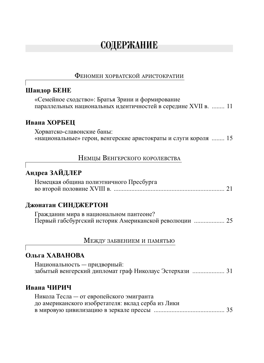## СОДЕРЖАНИЕ

#### ФЕНОМЕН ХОРВАТСКОЙ АРИСТОКРАТИИ

#### **Шандор БЕНЕ**

«Семейное сходство»: Братья Зрини и формирование параллельных национальных идентичностей в середине XVII в. ........ 11

#### **Ивана ХОРБЕЦ**

Хорватско-славонские баны: «национальные» герои, венгерские аристократы и слуги короля ........ 15

### НЕМЦЫ ВЕНГЕРСКОГО КОРОЛЕВСТВА

## **Андреа ЗАЙДЛЕР** Немецкая община полиэтничного Пресбурга во второй половине XVIII в. ..................................................................... 21

#### **Джонатан СИНДЖЕРТОН**

Гражданин мира в национальном пантеоне? Первый габсбургский историк Американской революции ................... 25

#### МЕЖДУ ЗАБВЕНИЕМ <sup>И</sup> ПАМЯТЬЮ

#### **Ольга ХАВАНОВА**

Национальность ― придворный: забытый венгерский дипломат граф Николаус Эстерхази .................... 31

#### **Ивана ЧИРИЧ**

| Никола Тесла — от европейского эмигранта           |  |
|----------------------------------------------------|--|
| до американского изобретателя: вклад серба из Лики |  |
|                                                    |  |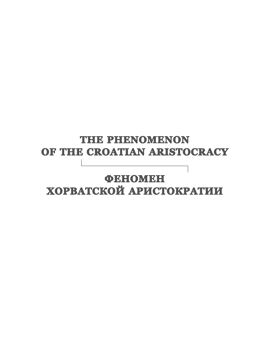# **THE PHENOMENON OF THE CROATIAN ARISTOCRACY**

## **ФЕНОМЕН ХОРВАТСКОЙ АРИСТОКРАТИИ ОРВАТСКОЙ**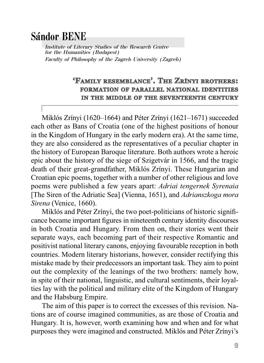## Sa**´**ndor BENE

Institute of Literary Studies of the Research Centre for the Humanities (Budapest) Faculty of Philosophy of the Zagreb University (Zagreb)

### **EXAMILY RESEMBLANCE<sup>2</sup>. THE ZRÍNYI BROTHERS: FORMATION OF PARALLEL NATIONAL IDENTITIES** IN THE MIDDLE OF THE SEVENTEENTH CENTURY

Miklós Zrínyi (1620–1664) and Péter Zrínyi (1621–1671) succeeded each other as Bans of Croatia (one of the highest positions of honour in the Kingdom of Hungary in the early modern era). At the same time, they are also considered as the representatives of a peculiar chapter in the history of European Baroque literature. Both authors wrote a heroic epic about the history of the siege of Szigetvár in 1566, and the tragic death of their great-grandfather, Miklós Zrínyi. These Hungarian and Croatian epic poems, together with a number of other religious and love poems were published a few years apart: *Adriai tengernek Syrenaia*  [The Siren of the Adriatic Sea] (Vienna, 1651), and *Adrianszkoga mora Sirena* (Venice, 1660).

Miklós and Péter Zrínyi, the two poet-politicians of historic significance became important figures in nineteenth century identity discourses in both Croatia and Hungary. From then on, their stories went their separate ways, each becoming part of their respective Romantic and positivist national literary canons, enjoying favourable reception in both countries. Modern literary historians, however, consider rectifying this mistake made by their predecessors an important task. They aim to point out the complexity of the leanings of the two brothers: namely how, in spite of their national, linguistic, and cultural sentiments, their loyalties lay with the political and military elite of the Kingdom of Hungary and the Habsburg Empire.

The aim of this paper is to correct the excesses of this revision. Nations are of course imagined communities, as are those of Croatia and Hungary. It is, however, worth examining how and when and for what purposes they were imagined and constructed. Miklós and Péter Zrínyi's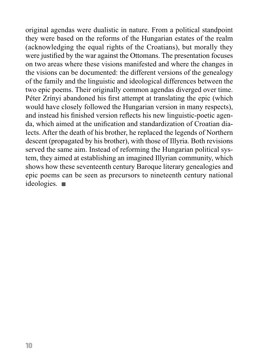original agendas were dualistic in nature. From a political standpoint they were based on the reforms of the Hungarian estates of the realm (acknowledging the equal rights of the Croatians), but morally they were justified by the war against the Ottomans. The presentation focuses on two areas where these visions manifested and where the changes in the visions can be documented: the different versions of the genealogy of the family and the linguistic and ideological differences between the two epic poems. Their originally common agendas diverged over time. Péter Zrínyi abandoned his first attempt at translating the epic (which would have closely followed the Hungarian version in many respects), and instead his finished version reflects his new linguistic-poetic agenda, which aimed at the unification and standardization of Croatian dialects. After the death of his brother, he replaced the legends of Northern descent (propagated by his brother), with those of Illyria. Both revisions served the same aim. Instead of reforming the Hungarian political system, they aimed at establishing an imagined Illyrian community, which shows how these seventeenth century Baroque literary genealogies and epic poems can be seen as precursors to nineteenth century national ideologies.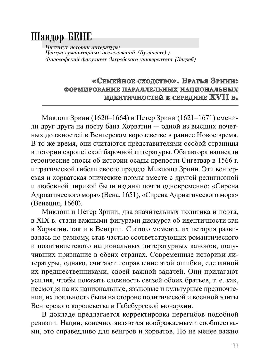## Шандор БЕНЕ

Институт истории литературы  $\overline{\text{H}}$ ентра гуманитарных исследований (Будапешт) / Философский факультет Загребского университета (Загреб)

### **«СЕМЕЙНОЕ СХОДСТВО ХОДСТВО». БРАТЬЯ ЗРИНИ: ФОРМИРОВАНИЕ ОРМИРОВАНИЕ ПАРАЛЛЕЛЬНЫХ АРАЛЛЕЛЬНЫХ НАЦИОНАЛЬНЫХ АЦИОНАЛЬНЫХ ИДЕНТИЧНОСТЕЙ ДЕНТИЧНОСТЕЙ В СЕРЕДИНЕ ЕРЕДИНЕ XVII В.**

Миклош Зрини (1620–1664) и Петер Зрини (1621–1671) сменили друг друга на посту бана Хорватии ― одной из высших почетных должностей в Венгерском королевстве в раннее Новое время. В то же время, они считаются представителями особой страницы в истории европейской барочной литературы. Оба автора написали героические эпосы об истории осады крепости Сигетвар в 1566 г. и трагической гибели своего прадеда Миклоша Зрини. Эти венгерская и хорватская эпические поэмы вместе с другой религиозной и любовной лирикой были изданы почти одновременно: «Сирена Адриатического моря» (Вена, 1651), «Сирена Адриатического моря» (Венеция, 1660).

Миклош и Петер Зрини, два значительных политика и поэта, в XIX в. стали важными фигурами дискурса об идентичности как в Хорватии, так и в Венгрии. С этого момента их история развивалась по-разному, став частью соответствующих романтического и позитивистского национальных литературных канонов, получивших признание в обеих странах. Современные историки литературы, однако, считают исправление этой ошибки, сделанной их предшественниками, своей важной задачей. Они прилагают усилия, чтобы показать сложность связей обоих братьев, т. е. как, несмотря на их национальные, языковые и культурные предпочтения, их лояльность была на стороне политической и военной элиты Венгерского королевства и Габсбургской монархии.

В докладе предлагается корректировка перегибов подобной ревизии. Нации, конечно, являются воображаемыми сообществами, это справедливо для венгров и хорватов. Но не менее важно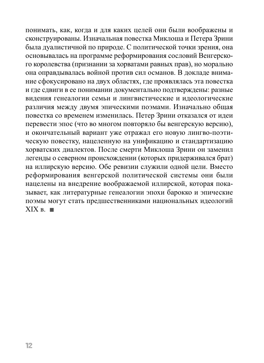понимать, как, когда и для каких целей они были воображены и сконструированы. Изначальная повестка Миклоша и Петера Зрини была дуалистичной по природе. С политической точки зрения, она основывалась на программе реформирования сословий Венгерского королевства (признании за хорватами равных прав), но морально она оправдывалась войной против сил османов. В докладе внимание сфокусировано на двух областях, где проявлялась эта повестка и где сдвиги в ее понимании документально подтверждены: разные видения генеалогии семьи и лингвистические и идеологические различия между двумя эпическими поэмами. Изначально общая повестка со временем изменилась. Петер Зрини отказался от идеи перевести эпос (что во многом повторяло бы венгерскую версию), и окончательный вариант уже отражал его новую лингво-поэтическую повестку, нацеленную на унификацию и стандартизацию хорватских диалектов. После смерти Миклоша Зрини он заменил легенды о северном происхождении (которых придерживался брат) на иллирскую версию. Обе ревизии служили одной цели. Вместо реформирования венгерской политической системы они были нацелены на внедрение воображаемой иллирской, которая показывает, как литературные генеалогии эпохи барокко и эпические поэмы могут стать предшественниками национальных идеологий  $XIX B.$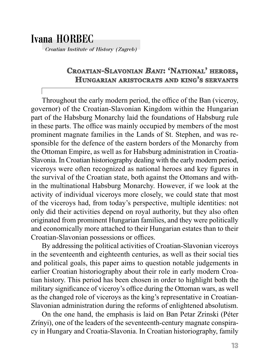## Ivana HORBEC

Croatian Institute of History (Zagreb)

## **CROATIAN-SLAVONIAN AVONIAN** *BANI***: 'NATIONAL' HEROES, HUNGARIAN NGARIAN ARISTOCRATS RISTOCRATS AND KING'S SERVANTS ERVANTS**

Throughout the early modern period, the office of the Ban (viceroy, governor) of the Croatian-Slavonian Kingdom within the Hungarian part of the Habsburg Monarchy laid the foundations of Habsburg rule in these parts. The office was mainly occupied by members of the most prominent magnate families in the Lands of St. Stephen, and was responsible for the defence of the eastern borders of the Monarchy from the Ottoman Empire, as well as for Habsburg administration in Croatia-Slavonia. In Croatian historiography dealing with the early modern period, viceroys were often recognized as national heroes and key figures in the survival of the Croatian state, both against the Ottomans and within the multinational Habsburg Monarchy. However, if we look at the activity of individual viceroys more closely, we could state that most of the viceroys had, from today's perspective, multiple identities: not only did their activities depend on royal authority, but they also often originated from prominent Hungarian families, and they were politically and economically more attached to their Hungarian estates than to their Croatian-Slavonian possessions or offices.

By addressing the political activities of Croatian-Slavonian viceroys in the seventeenth and eighteenth centuries, as well as their social ties and political goals, this paper aims to question notable judgements in earlier Croatian historiography about their role in early modern Croatian history. This period has been chosen in order to highlight both the military significance of viceroy's office during the Ottoman wars, as well as the changed role of viceroys as the king's representative in Croatian-Slavonian administration during the reforms of enlightened absolutism.

On the one hand, the emphasis is laid on Ban Petar Zrinski (Péter Zrínyi), one of the leaders of the seventeenth-century magnate conspiracy in Hungary and Croatia-Slavonia. In Croatian historiography, family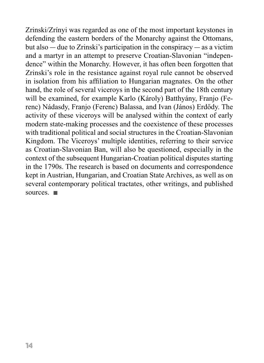Zrinski/Zrínyi was regarded as one of the most important keystones in defending the eastern borders of the Monarchy against the Ottomans, but also ― due to Zrinski's participation in the conspiracy ― as a victim and a martyr in an attempt to preserve Croatian-Slavonian "independence" within the Monarchy. However, it has often been forgotten that Zrinski's role in the resistance against royal rule cannot be observed in isolation from his affiliation to Hungarian magnates. On the other hand, the role of several viceroys in the second part of the 18th century will be examined, for example Karlo (Károly) Batthyány, Franjo (Ferenc) Nádasdy, Franjo (Ferenc) Balassa, and Ivan (János) Erdődy. The activity of these viceroys will be analysed within the context of early modern state-making processes and the coexistence of these processes with traditional political and social structures in the Croatian-Slavonian Kingdom. The Viceroys' multiple identities, referring to their service as Croatian-Slavonian Ban, will also be questioned, especially in the context of the subsequent Hungarian-Croatian political disputes starting in the 1790s. The research is based on documents and correspondence kept in Austrian, Hungarian, and Croatian State Archives, as well as on several contemporary political tractates, other writings, and published sources.  $\blacksquare$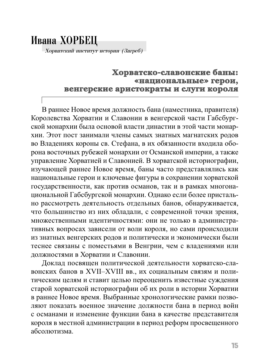# Ивана ХОРБЕЦ

Хорватский институт истории (Загреб)

### **Хорватско-славонские баны: орватско-славонские «национальные» герои, национальные» венгерские аристократы и слуги короля енгерские**

В раннее Новое время должность бана (наместника, правителя) Королевства Хорватии и Славонии в венгерской части Габсбургской монархии была основой власти династии в этой части монархии. Этот пост занимали члены самых знатных магнатских родов во Владениях короны св. Стефана, в их обязанности входила оборона восточных рубежей монархии от Османской империи, а также управление Хорватией и Славонией. В хорватской историографии, изучающей раннее Новое время, баны часто представлялись как национальные герои и ключевые фигуры в сохранении хорватской государственности, как против османов, так и в рамках многонациональной Габсбургской монархии. Однако если более пристально рассмотреть деятельность отдельных банов, обнаруживается, что большинство из них обладали, с современной точки зрения, множественными идентичностями: они не только в административных вопросах зависели от воли короля, но сами происходили из знатных венгерских родов и политически и экономически были теснее связаны с поместьями в Венгрии, чем с владениями или должностями в Хорватии и Славонии.

Доклад посвящен политической деятельности хорватско-славонских банов в XVII–XVIII вв., их социальным связям и политическим целям и ставит целью переоценить известные суждения старой хорватской историографии об их роли в истории Хорватии в раннее Новое время. Выбранные хронологические рамки позволяют показать военное значение должности бана в период войн с османами и изменение функции бана в качестве представителя короля в местной администрации в период реформ просвещенного абсолютизма.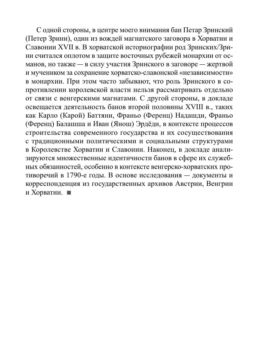С одной стороны, в центре моего внимания бан Петар Зринский (Петер Зрини), один из вождей магнатского заговора в Хорватии и Славонии XVII в. В хорватской историографии род Зринских/Зрини считался оплотом в защите восточных рубежей монархии от османов, но также ― в силу участия Зринского в заговоре ― жертвой и мучеником за сохранение хорватско-славонской «независимости» в монархии. При этом часто забывают, что роль Зринского в сопротивлении королевской власти нельзя рассматривать отдельно от связи с венгерскими магнатами. С другой стороны, в докладе освещается деятельность банов второй половины XVIII в., таких как Карло (Карой) Баттяни, Франьо (Ференц) Надашди, Франьо (Ференц) Балашша и Иван (Янош) Эрдёди, в контексте процессов строительства современного государства и их сосуществования с традиционными политическими и социальными структурами в Королевстве Хорватии и Славонии. Наконец, в докладе анализируются множественные идентичности банов в сфере их служебных обязанностей, особенно в контексте венгерско-хорватских противоречий в 1790-е годы. В основе исследования ― документы и корреспонденция из государственных архивов Австрии, Венгрии и Хорватии.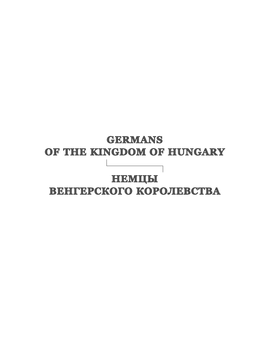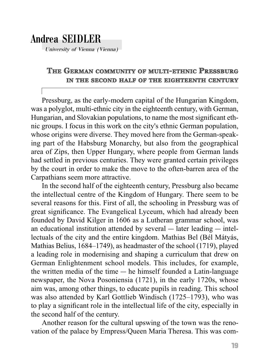## Andrea SEIDLER

University of Vienna (Vienna)

### **THE GERMAN COMMUNITY OF MULTI-ETHNIC PRESSBURG IN THE SECOND HALF OF THE EIGHTEENTH IGHTEENTH CENTURY**

Pressburg, as the early-modern capital of the Hungarian Kingdom, was a polyglot, multi-ethnic city in the eighteenth century, with German, Hungarian, and Slovakian populations, to name the most significant ethnic groups. I focus in this work on the city's ethnic German population, whose origins were diverse. They moved here from the German-speaking part of the Habsburg Monarchy, but also from the geographical area of Zips, then Upper Hungary, where people from German lands had settled in previous centuries. They were granted certain privileges by the court in order to make the move to the often-barren area of the Carpathians seem more attractive.

In the second half of the eighteenth century, Pressburg also became the intellectual centre of the Kingdom of Hungary. There seem to be several reasons for this. First of all, the schooling in Pressburg was of great significance. The Evangelical Lyceum, which had already been founded by David Kilger in 1606 as a Lutheran grammar school, was an educational institution attended by several ― later leading ― intellectuals of the city and the entire kingdom. Mathias Bel (Bél Mátyás, Mathias Belius, 1684–1749), as headmaster of the school (1719), played a leading role in modernising and shaping a curriculum that drew on German Enlightenment school models. This includes, for example, the written media of the time ― he himself founded a Latin-language newspaper, the Nova Posoniensia (1721), in the early 1720s, whose aim was, among other things, to educate pupils in reading. This school was also attended by Karl Gottlieb Windisch (1725–1793), who was to play a significant role in the intellectual life of the city, especially in the second half of the century.

Another reason for the cultural upswing of the town was the renovation of the palace by Empress/Queen Maria Theresa. This was com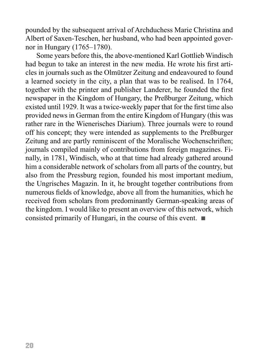pounded by the subsequent arrival of Archduchess Marie Christina and Albert of Saxen-Teschen, her husband, who had been appointed governor in Hungary (1765–1780).

Some years before this, the above-mentioned Karl Gottlieb Windisch had begun to take an interest in the new media. He wrote his first articles in journals such as the Olmützer Zeitung and endeavoured to found a learned society in the city, a plan that was to be realised. In 1764, together with the printer and publisher Landerer, he founded the first newspaper in the Kingdom of Hungary, the Preßburger Zeitung, which existed until 1929. It was a twice-weekly paper that for the first time also provided news in German from the entire Kingdom of Hungary (this was rather rare in the Wienerisches Diarium). Three journals were to round off his concept; they were intended as supplements to the Preßburger Zeitung and are partly reminiscent of the Moralische Wochenschriften; journals compiled mainly of contributions from foreign magazines. Finally, in 1781, Windisch, who at that time had already gathered around him a considerable network of scholars from all parts of the country, but also from the Pressburg region, founded his most important medium, the Ungrisches Magazin. In it, he brought together contributions from numerous fields of knowledge, above all from the humanities, which he received from scholars from predominantly German-speaking areas of the kingdom. I would like to present an overview of this network, which consisted primarily of Hungari, in the course of this event.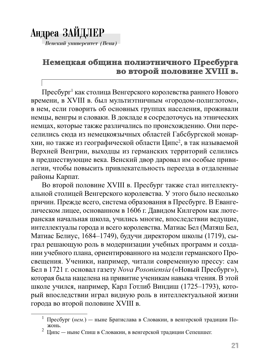# Андреа ЗАЙДЛЕР

Венский университет (Вена)

## Немецкая община полиэтничного Пресбурга во второй половине XVIII в.

Пресбург<sup>1</sup> как столица Венгерского королевства раннего Нового времени, в XVIII в. был мультиэтничным «городом-полиглотом», в нем, если говорить об основных группах населения, проживали немцы, венгры и словаки. В докладе я сосредоточусь на этнических немцах, которые также различались по происхождению. Они переселились сюда из немецкоязычных областей Габсбургской монархии, но также из географической области Ципс<sup>2</sup>, в так называемой Верхней Венгрии, выходцы из германских территорий селились в предшествующие века. Венский двор даровал им особые привилегии, чтобы повысить привлекательность переезда в отдаленные районы Карпат.

Во второй половине XVIII в. Пресбург также стал интеллектуальной столицей Венгерского королевства. У этого было несколько причин. Прежде всего, система образования в Пресбурге. В Евангелическом лицее, основанном в 1606 г. Давидом Килгером как лютеранская начальная школа, учились многие, впоследствии ведущие, интеллектуалы города и всего королевства. Матиас Бел (Матяш Бел, Матиас Белиус, 1684–1749), будучи директором школы (1719), сыграл решающую роль в модернизации учебных программ и создании учебного плана, ориентированного на модели германского Просвещения. Ученики, например, читали современную прессу: сам Бел в 1721 г. основал газету *Nova Posoniensia* («Новый Пресбург»), которая была нацелена на привитие ученикам навыка чтения. В этой школе учился, например, Карл Готлиб Виндиш (1725–1793), который впоследствии играл видную роль в интеллектуальной жизни города во второй половине XVIII в.

<sup>&</sup>lt;sup>1</sup> Пресбург (*нем.*) — ныне Братислава в Словакии, в венгерской традиции По-<br><sup>2</sup> Инде — ш не Слиш в Словакии, в венгерской традиции Сепенциег

Ципс ― ныне Спиш в Словакии, в венгерской традиции Сепешшег.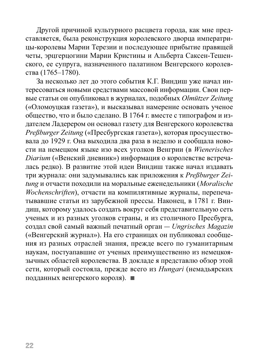Другой причиной культурного расцвета города, как мне представляется, была реконструкция королевского дворца императрицы-королевы Марии Терезии и последующее прибытие правящей четы, эрцгерцогини Марии Кристины и Альберта Саксен-Тешенского, ее супруга, назначенного палатином Венгерского королевства (1765–1780).

За несколько лет до этого события К.Г. Виндиш уже начал интересоваться новыми средствами массовой информации. Свои первые статьи он опубликовал в журналах, подобных *Olmützer Zeitung* («Оломоуцкая газета»), и высказывал намерение основать ученое общество, что и было сделано. В 1764 г. вместе с типографом и издателем Ладерером он основал газету для Венгерского королевства *Preßburger Zeitung* («Пресбургская газета»), которая просуществовала до 1929 г. Она выходила два раза в неделю и сообщала новости на немецком языке изо всех уголков Венгрии (в *Wienerisches Diarium* («Венский дневник») информация о королевстве встречалась редко). В развитие этой идеи Виндиш также начал издавать три журнала: они задумывались как приложения к *Preßburger Zeitung* и отчасти походили на моральные еженедельники (*Moralische Wochenschriften*), отчасти на компилятивные журналы, перепечатывавшие статьи из зарубежной прессы. Наконец, в 1781 г. Виндиш, которому удалось создать вокруг себя представительную сеть ученых и из разных уголков страны, и из столичного Пресбурга, создал свой самый важный печатный орган ― *Ungrisches Magazin* («Венгерский журнал»). На его страницах он публиковал сообщения из разных отраслей знания, прежде всего по гуманитарным наукам, постуапавшие от ученых преимущественно из немецкоязычных областей королевства. В докладе я представлю обзор этой сети, который состояла, прежде всего из *Hungari* (немадьярских подданных венгерского короля).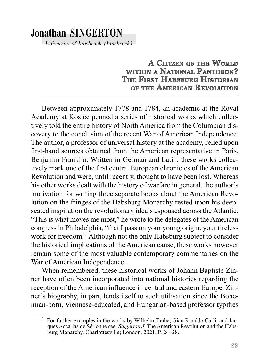## Jonathan SINGERTON

University of Innsbruck (Innsbruck)

### **A CITIZEN OF THE WORLD WITHIN A NATIONAL PANTHEON? THE FIRST HABSBURG HISTORIAN** *OF THE AMERICAN REVOLUTION*

Between approximately 1778 and 1784, an academic at the Royal Academy at Košice penned a series of historical works which collectively told the entire history of North America from the Columbian discovery to the conclusion of the recent War of American Independence. The author, a professor of universal history at the academy, relied upon first-hand sources obtained from the American representative in Paris, Benjamin Franklin. Written in German and Latin, these works collectively mark one of the first central European chronicles of the American Revolution and were, until recently, thought to have been lost. Whereas his other works dealt with the history of warfare in general, the author's motivation for writing three separate books about the American Revolution on the fringes of the Habsburg Monarchy rested upon his deepseated inspiration the revolutionary ideals espoused across the Atlantic. "This is what moves me most," he wrote to the delegates of the American congress in Philadelphia, "that I pass on your young origin, your tireless work for freedom." Although not the only Habsburg subject to consider the historical implications of the American cause, these works however remain some of the most valuable contemporary commentaries on the War of American Independence<sup>1</sup>.

When remembered, these historical works of Johann Baptiste Zinner have often been incorporated into national histories regarding the reception of the American influence in central and eastern Europe. Zinner's biography, in part, lends itself to such utilisation since the Bohemian-born, Viennese-educated, and Hungarian-based professor typifies

<sup>1</sup> For further examples in the works by Wilhelm Taube, Gian Rinaldo Carli, and Jacques Accarias de Sérionne see: *Singerton J.* The American Revolution and the Habsburg Monarchy. Charlottesville; London, 2021. P. 24–28.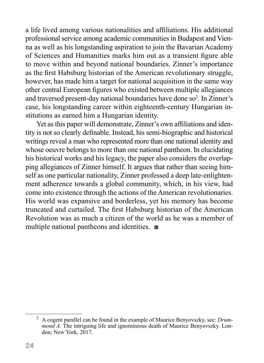a life lived among various nationalities and affiliations. His additional professional service among academic communities in Budapest and Vienna as well as his longstanding aspiration to join the Bavarian Academy of Sciences and Humanities marks him out as a transient figure able to move within and beyond national boundaries. Zinner's importance as the first Habsburg historian of the American revolutionary struggle, however, has made him a target for national acquisition in the same way other central European figures who existed between multiple allegiances and traversed present-day national boundaries have done so<sup>2</sup>. In Zinner's case, his longstanding career within eighteenth-century Hungarian institutions as earned him a Hungarian identity.

Yet as this paper will demonstrate, Zinner's own affiliations and identity is not so clearly definable. Instead, his semi-biographic and historical writings reveal a man who represented more than one national identity and whose oeuvre belongs to more than one national pantheon. In elucidating his historical works and his legacy, the paper also considers the overlapping allegiances of Zinner himself. It argues that rather than seeing himself as one particular nationality, Zinner professed a deep late-enlightenment adherence towards a global community, which, in his view, had come into existence through the actions of the American revolutionaries. His world was expansive and borderless, yet his memory has become truncated and curtailed. The first Habsburg historian of the American Revolution was as much a citizen of the world as he was a member of multiple national pantheons and identities.  $\blacksquare$ 

<sup>2</sup> A cogent parallel can be found in the example of Maurice Benyovszky, see: *Drummond A.* The intriguing life and ignominious death of Maurice Benyovszky. London; New York, 2017.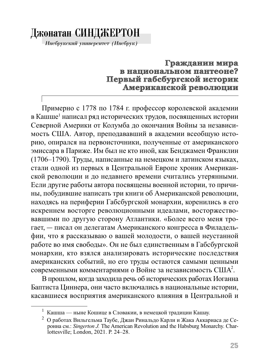## Джонатан СИНДЖЕРТОН

Инсбрукский университет (Инсбрук)

### Гражданин мира в национальном пантеоне? Первый габсбургской историк Американской революции

Примерно с 1778 по 1784 г. профессор королевской академии в Кашше<sup>1</sup> написал ряд исторических трудов, посвященных истории Северной Америки от Колумба до окончания Войны за независимость США. Автор, преподававший в академии всеобщую историю, опирался на первоисточники, полученные от американского эмиссара в Париже. Им был не кто иной, как Бенджамен Франклин (1706-1790). Труды, написанные на немецком и латинском языках, стали одной из первых в Центральной Европе хроник Американской революции и до недавнего времени считались утерянными. Если другие работы автора посвящены военной истории, то причины, побудившие написать три книги об Американской революции, находясь на периферии Габсбургской монархии, коренились в его искреннем восторге революционными идеалами, восторжествовавшими по другую сторону Атлантики. «Более всего меня трогает, - писал он делегатам Американского конгресса в Филадельфии, что я рассказываю о вашей молодости, о вашей неустанной работе во имя свободы». Он не был единственным в Габсбургской монархии, кто взялся анализировать исторические последствия американских событий, но его труды остаются самыми ценными современными комментариями о Войне за независимость США<sup>2</sup>.

В прошлом, когда заходила речь об исторических работах Иоганна Баптиста Циннера, они часто включались в национальные истории, касавшиеся восприятия американского влияния в Центральной и

Кашша — ныне Кошице в Словакии, в немецкой традиции Кашау.

<sup>&</sup>lt;sup>2</sup> О работах Вильгельма Таубе, Джан Ринальдо Карли и Жака Аккариаса де Серонна см.: Singerton J. The American Revolution and the Habsburg Monarchy. Charlottesville; London, 2021. P. 24-28.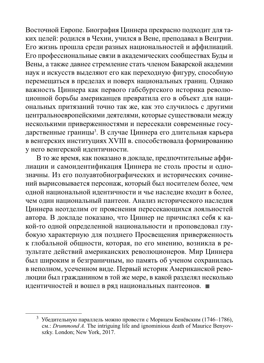Восточной Европе. Биография Циннера прекрасно подходит для таких целей: родился в Чехии, учился в Вене, преподавал в Венгрии. Его жизнь прошла среди разных национальностей и аффилиаций. Его профессиональные связи в академических сообществах Буды и Вены, а также давнее стремление стать членом Баварской академии наук и искусств выделяют его как переходную фигуру, способную перемещаться в пределах и поверх национальных границ. Однако важность Циннера как первого габсбургского историка революционной борьбы американцев превратила его в объект для национальных притязаний точно так же, как это случилось с другими центральноевропейскими деятелями, которые существовали между несколькими приверженностями и пересекали современные государственные границы<sup>з</sup>. В случае Циннера его длительная карьера в венгерских институциях XVIII в. способствовала формированию у него венгерской идентичности.

В то же время, как показано в докладе, предпочтительные аффилиации и самоидентификация Циннера не столь просты и однозначны. Из его полуавтобиографических и исторических сочинений вырисовывается персонаж, который был носителем более, чем одной национальной идентичности и чье наследие входит в более, чем один национальный пантеон. Анализ исторического наследия Циннера неотделим от прояснения пересекающихся лояльностей автора. В докладе показано, что Циннер не причислял себя к какой-то одной определенной национальности и проповедовал глубокую характерную для позднего Просвещения приверженность к глобальной общности, которая, по его мнению, возникла в результате действий американских революционеров. Мир Циннера был широким и безграничным, но память об ученом сохранилась в неполном, усеченном виде. Первый историк Американской революции был гражданином в той же мере, в какой разделял несколько идентичностей и вошел в ряд национальных пантеонов.

<sup>&</sup>lt;sup>3</sup> Убедительную параллель можно провести с Морицем Бенёвским (1746–1786), см.: *Drummond A.* The intriguing life and ignominious death of Maurice Benyovszky. London; New York, 2017.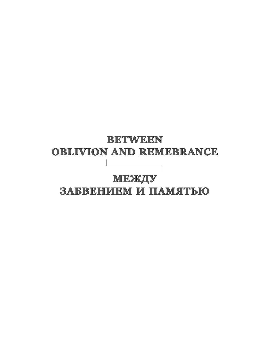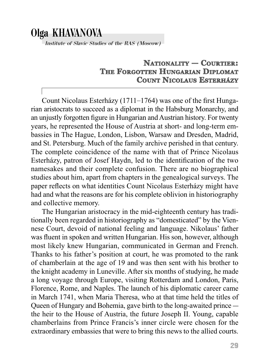# Olga KHAVANOVA

Institute of Slavic Studies of the RAS (Moscow)

### **NATIONALITY TIONALITY— COURTIER: THE FORGOTTEN RGOTTEN HUNGARIAN NGARIAN DIPLOMAT COUNT NICOLAUS ESTERHÁZY**

Count Nicolaus Esterházy (1711–1764) was one of the first Hungarian aristocrats to succeed as a diplomat in the Habsburg Monarchy, and an unjustly forgotten figure in Hungarian and Austrian history. For twenty years, he represented the House of Austria at short- and long-term embassies in The Hague, London, Lisbon, Warsaw and Dresden, Madrid, and St. Petersburg. Much of the family archive perished in that century. The complete coincidence of the name with that of Prince Nicolaus Esterházy, patron of Josef Haydn, led to the identification of the two namesakes and their complete confusion. There are no biographical studies about him, apart from chapters in the genealogical surveys. The paper reflects on what identities Count Nicolaus Esterházy might have had and what the reasons are for his complete oblivion in historiography and collective memory.

The Hungarian aristocracy in the mid-eighteenth century has traditionally been regarded in historiography as "domesticated" by the Viennese Court, devoid of national feeling and language. Nikolaus' father was fluent in spoken and written Hungarian. His son, however, although most likely knew Hungarian, communicated in German and French. Thanks to his father's position at court, he was promoted to the rank of chamberlain at the age of 19 and was then sent with his brother to the knight academy in Luneville. After six months of studying, he made a long voyage through Europe, visiting Rotterdam and London, Paris, Florence, Rome, and Naples. The launch of his diplomatic career came in March 1741, when Maria Theresa, who at that time held the titles of Queen of Hungary and Bohemia, gave birth to the long-awaited prince ― the heir to the House of Austria, the future Joseph II. Young, capable chamberlains from Prince Francis's inner circle were chosen for the extraordinary embassies that were to bring this news to the allied courts.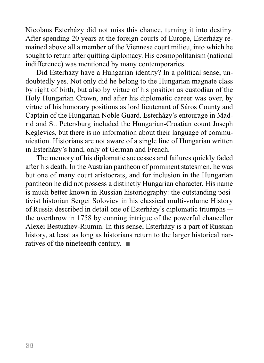Nicolaus Esterházy did not miss this chance, turning it into destiny. After spending 20 years at the foreign courts of Europe, Esterházy remained above all a member of the Viennese court milieu, into which he sought to return after quitting diplomacy. His cosmopolitanism (national indifference) was mentioned by many contemporaries.

Did Esterházy have a Hungarian identity? In a political sense, undoubtedly yes. Not only did he belong to the Hungarian magnate class by right of birth, but also by virtue of his position as custodian of the Holy Hungarian Crown, and after his diplomatic career was over, by virtue of his honorary positions as lord lieutenant of Sáros County and Captain of the Hungarian Noble Guard. Esterházy's entourage in Madrid and St. Petersburg included the Hungarian-Croatian count Joseph Keglevics, but there is no information about their language of communication. Historians are not aware of a single line of Hungarian written in Esterházy's hand, only of German and French.

The memory of his diplomatic successes and failures quickly faded after his death. In the Austrian pantheon of prominent statesmen, he was but one of many court aristocrats, and for inclusion in the Hungarian pantheon he did not possess a distinctly Hungarian character. His name is much better known in Russian historiography: the outstanding positivist historian Sergei Soloviev in his classical multi-volume History of Russia described in detail one of Esterházy's diplomatic triumphs ― the overthrow in 1758 by cunning intrigue of the powerful chancellor Alexei Bestuzhev-Riumin. In this sense, Esterházy is a part of Russian history, at least as long as historians return to the larger historical narratives of the nineteenth century.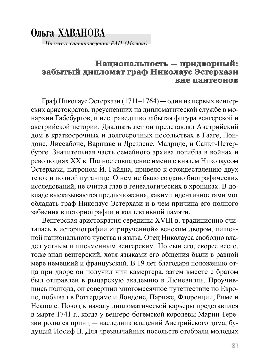## Ольга ХАВАНОВА

Институт славяноведения РАН (Москва)

### **Национальность ациональность —придворный: придворный:** забытый дипломат граф Николаус Эстерхази **вне пантеонов не**

Граф Николаус Эстерхази (1711–1764) ― один из первых венгерских аристократов, преуспевших на дипломатической службе в монархии Габсбургов, и несправедливо забытая фигура венгерской и австрийской истории. Двадцать лет он представлял Австрийский дом в краткосрочных и долгосрочных посольствах в Гааге, Лондоне, Лиссабоне, Варшаве и Дрездене, Мадриде, и Санкт-Петербурге. Значительная часть семейного архива погибла в войнах и революциях ХХ в. Полное совпадение имени с князем Николаусом Эстерхази, патроном Й. Гайдна, привело к отождествлению двух тезок и полной путанице. О нем не было создано биографических исследований, не считая глав в генеалогических в хрониках. В докладе высказываются предположения, какими идентичностями мог обладать граф Николаус Эстерхази и в чем причина его полного забвения в историографии и коллективной памяти.

Венгерская аристократия середины XVIII в. традиционно считалась в историографии «прирученной» венским двором, лишенной национального чувства и языка. Отец Николауса свободно владел устным и письменным венгерским. Но сын его, скорее всего, тоже знал венгерский, хотя языками его общения были в равной мере немецкий и французский. В 19 лет благодаря положению отца при дворе он получил чин камергера, затем вместе с братом был отправлен в рыцарскую академию в Люневилль. Проучившись полгода, он совершил многомесячное путешествие по Европе, побывал в Роттердаме и Лондоне, Париже, Флоренции, Риме и Неаполе. Повод к началу дипломатической карьеры представился в марте 1741 г., когда у венгеро-богемской королевы Марии Терезии родился принц ― наследник владений Австрийского дома, будущий Иосиф II. Для чрезвычайных посольств отобрали молодых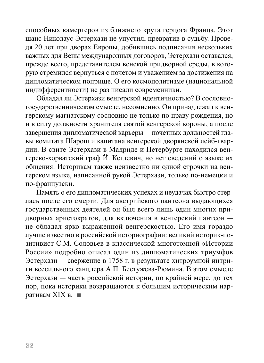способных камергеров из ближнего круга герцога Франца. Этот шанс Николаус Эстерхази не упустил, превратив в судьбу. Проведя 20 лет при дворах Европы, добившись подписания нескольких важных для Вены международных договоров, Эстерхази оставался, прежде всего, представителем венской придворной среды, в которую стремился вернуться с почетом и уважением за достижения на дипломатическом поприще. О его космополитизме (национальной индифферентности) не раз писали современники.

Обладал ли Эстерхази венгерской идентичностью? В сословногосударственническом смысле, несомненно. Он принадлежал к венгерскому магнатскому сословию не только по праву рождения, но и в силу должности хранителя святой венгерской короны, а после завершения дипломатической карьеры ― почетных должностей главы комитата Шарош и капитана венгерской дворянской лейб-гвардии. В свите Эстерхази в Мадриде и Петербурге находился венгерско-хорватский граф Й. Кеглевич, но нет сведений о языке их общения. Историкам также неизвестно ни одной строчки на венгерском языке, написанной рукой Эстерхази, только по-немецки и по-французски.

Память о его дипломатических успехах и неудачах быстро стерлась после его смерти. Для австрийского пантеона выдающихся государственных деятелей он был всего лишь один многих придворных аристократов, для включения в венгерский пантеон ― не обладал ярко выраженной венгерскостью. Его имя гораздо лучше известно в российской историографии: великий историк-позитивист С.М. Соловьев в классической многотомной «Истории России» подробно описал один из дипломатических триумфов Эстерхази ― свержение в 1758 г. в результате хитроумной интриги всесильного канцлера А.П. Бестужева-Рюмина. В этом смысле Эстерхази ― часть российской истории, по крайней мере, до тех пор, пока историки возвращаются к большим историческим нарративам XIX в.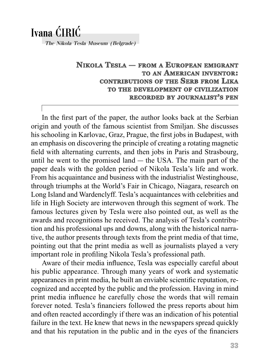## Ivana C**´**IRIC**´**

The Nikola Tesla Museum (Belgrade)

### **NIKOLA TESLA — FROM A EUROPEAN EMIGRANT MIGRANT TO AN AMERICAN INVENTOR NVENTOR: CONTRIBUTIONS OF THE SERB FROM LIKA TO THE DEVELOPMENT OF CIVILIZATION RECORDED ECORDED BY JOURNALIST OURNALIST'S PEN**

In the first part of the paper, the author looks back at the Serbian origin and youth of the famous scientist from Smiljan. She discusses his schooling in Karlovac, Graz, Prague, the first jobs in Budapest, with an emphasis on discovering the principle of creating a rotating magnetic field with alternating currents, and then jobs in Paris and Strasbourg, until he went to the promised land ― the USA. The main part of the paper deals with the golden period of Nikola Tesla's life and work. From his acquaintance and business with the industrialist Westinghouse, through triumphs at the World's Fair in Chicago, Niagara, research on Long Island and Wardenclyff. Tesla's acquaintances with celebrities and life in High Society are interwoven through this segment of work. The famous lectures given by Tesla were also pointed out, as well as the awards and recognitions he received. The analysis of Tesla's contribution and his professional ups and downs, along with the historical narrative, the author presents through texts from the print media of that time, pointing out that the print media as well as journalists played a very important role in profiling Nikola Tesla's professional path.

Aware of their media influence, Tesla was especially careful about his public appearance. Through many years of work and systematic appearances in print media, he built an enviable scientific reputation, recognized and accepted by the public and the profession. Having in mind print media influence he carefully chose the words that will remain forever noted. Tesla's financiers followed the press reports about him and often reacted accordingly if there was an indication of his potential failure in the text. He knew that news in the newspapers spread quickly and that his reputation in the public and in the eyes of the financiers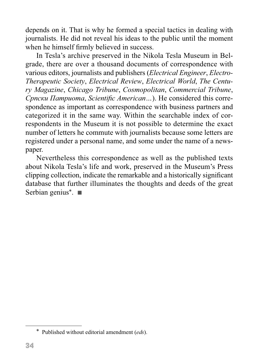depends on it. That is why he formed a special tactics in dealing with journalists. He did not reveal his ideas to the public until the moment when he himself firmly believed in success.

In Tesla's archive preserved in the Nikola Tesla Museum in Belgrade, there are over a thousand documents of correspondence with various editors, journalists and publishers (*Electrical Engineer*, *Electro-Therapeutic Society*, *Electrical Review*, *Electrical World*, *The Century Magazine*, *Chicago Tribune*, *Cosmopolitan*, *Commercial Tribune*, Српски Патриота, Scientific American...). He considered this correspondence as important as correspondence with business partners and categorized it in the same way. Within the searchable index of correspondents in the Museum it is not possible to determine the exact number of letters he commute with journalists because some letters are registered under a personal name, and some under the name of a newspaper.

Nevertheless this correspondence as well as the published texts about Nikola Tesla's life and work, preserved in the Museum's Press clipping collection, indicate the remarkable and a historically significant database that further illuminates the thoughts and deeds of the great Serbian genius<sup>\*</sup>. ■

<sup>\*</sup> Published without editorial amendment (*eds*).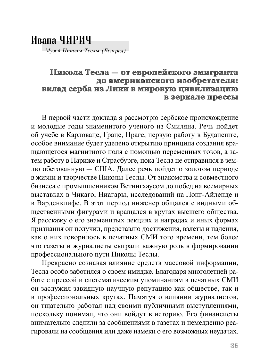## Ивана ЧИРИЧ

Музей Николы Теслы (Белград)

### **Никола Тесла —от европейского эмигранта от до американского изобретателя: о**  вклад серба из Лики в мировую цивилизацию **в зеркале прессы прессы**

В первой части доклада я рассмотрю сербское происхождение и молодые годы знаменитого ученого из Смиляна. Речь пойдет об уче бе в Карловаце, Граце, Праге, первую работу в Будапеште, особое внимание будет уделено открытию принципа создания вращающегося магнитного поля с помощью переменных токов, а затем работу в Париже и Страсбурге, пока Тесла не отправился в землю обетованную ― США. Далее речь пойдет о золотом периоде в жизни и творчестве Николы Теслы. От знакомства и совместного бизнеса с промышленником Ветингхаусом до побед на всемирных выставках в Чикаго, Ниагары, исследований на Лонг-Айленде и в Варденклифе. В этот период инженер общался с видными общественными фигурами и вращался в кругах высшего общества. Я расскажу о его знаменитых лекциях и наградах и иных формах признания он получил, представлю достижения, взлеты и падения, как о них говорилось в печатных СМИ того времени, тем более что газеты и журналисты сыграли важную роль в формировании профессионального пути Николы Теслы.

Прекрасно сознавая влияние средств массовой информации, Тесла особо заботился о своем имидже. Благодаря многолетней работе с прессой и систематическим упоминаниям в печатных СМИ он заслужил завидную научную репутацию как обществе, так и в профессиональных кругах. Памятуя о влиянии журналистов, он тщательно работал над своими публичными выступлениями, поскольку понимал, что они войдут в историю. Его финансисты внимательно следили за сообщениями в газетах и немедленно реагировали на сообщения или даже намеки о его возможных неудачах.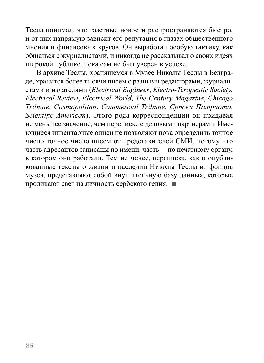Тесла понимал, что газетные новости распространяются быстро, и от них напрямую зависит его репутация в глазах общественного мнения и финансовых кругов. Он выработал особую тактику, как общаться с журналистами, и никогда не рассказывал о своих идеях широкой публике, пока сам не был уверен в успехе.

В архиве Теслы, хранящемся в Музее Николы Теслы в Белграде, хранится более тысячи писем с разными редакторами, журналистами и издателями (*Electrical Engineer*, *Electro-Terapeutic Society*, *Electrical Review*, *Electrical World*, *The Century Magazine*, *Chicago Tribune*, *Cosmopolitan*, *Commercial Tribune*, *Српски Патриота*, *Scientific American*). Этого рода корреспонденции он придавал не меньшее значение, чем переписке с деловыми партнерами. Имеющиеся инвентарные описи не позволяют пока определить точное число точное число писем от представителей СМИ, потому что часть адресантов записаны по имени, часть ― по печатному органу, в котором они работали. Тем не менее, переписка, как и опубликованные тексты о жизни и наследии Николы Теслы из фондов музея, представляют собой внушительную базу данных, которые проливают свет на личность сербского гения.